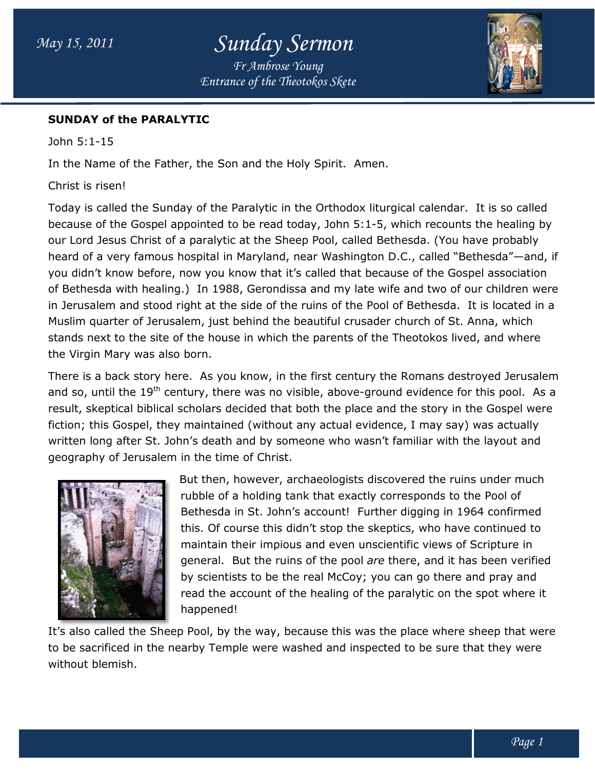# Sunday Sermon

Entrance of the Theotokos Skete Fr Ambrose Young



#### SUNDAY of the PARALYTIC

John 5:1-15

In the Name of the Father, the Son and the Holy Spirit. Spirit. Amen.

Christ is risen!

Today is called the Sunday of the Paralytic in the Orthodox liturgical calendar. calendar. It is so called Today is called the Sunday of the Paralytic in the Orthodox liturgical calendar. It is so called<br>because of the Gospel appointed to be read today, John 5:1-5, which recounts the healing by our Lord Jesus Christ of a paralytic at the Sheep Pool, called Bethesda. (You have probably heard of a very famous hospital in Maryland, near Washington D.C., called "Bethesda" you didn't know before, now you know that it's called that because of the Gospel association of Bethesda with healing.) In 1988, Gerondissa and my late wife and two of our children were in Jerusalem and stood right at the side of the ruins of the Pool of Bethesda. It is located in a Muslim quarter of Jerusalem, just behind the beautiful crusader church of St. Anna, which stands next to the site of the house in which the parents of the Theotokos lived, and where the Virgin Mary was also born. Lord Jesus Christ of a paralytic at the Sheep Pool, called Bethesda. (You<br>d of a very famous hospital in Maryland, near Washington D.C., called "I<br>didn't know before, now you know that it's called that because of the Go<br>et 5, which recounts the healing by<br>Bethesda. (You have probably<br>n D.C., called "Bethesda"—and, if

There is a back story here. As you know, in the first century the Romans destroyed Jerusalem There is a back story here. As you know, in the first century the Romans destroyed Jerusalem<br>and so, until the 19<sup>th</sup> century, there was no visible, above-ground evidence for this pool. As a result, skeptical biblical scholars decided that both the place and the story in the Gospel were fiction; this Gospel, they maintained (without any actual evidence, I may say) was actually written long after St. John's death and by someone who wasn't familiar with the layout and geography of Jerusalem in the time of Christ.



But then, however, archaeologists discovered the ruins under much rubble of a holding tank that exactly corresponds to the Pool of But then, however, archaeologists discovered the ruins under much<br>then, however, archaeologists discovered the ruins under much<br>rubble of a holding tank that exactly corresponds to the Pool of<br>Bethesda in St. John's accoun this. Of course this didn't stop the skeptics, who have co maintain their impious and even unscientific views of Scripture in this. Of course this didn't stop the skeptics, who have continued to<br>maintain their impious and even unscientific views of Scripture in<br>general. But the ruins of the pool *are* there, and it has been verified by scientists to be the real McCoy; you can go there and pray and general. But the ruins of the pool *are* there, and it has been verified<br>by scientists to be the real McCoy; you can go there and pray and<br>read the account of the healing of the paralytic on the spot where it happened! the story in the Gospel were, I may say) was actually<br>imiliar with the layout and<br>ered the ruins under much<br>responds to the Pool of<br>digging in 1964 confirmed<br>cs, who have continued to

It's also called the Sheep Pool, by the way, because this was the place where sheep that were It's also called the Sheep Pool, by the way, because this was the place where sheep that we<br>to be sacrificed in the nearby Temple were washed and inspected to be sure that they were without blemish.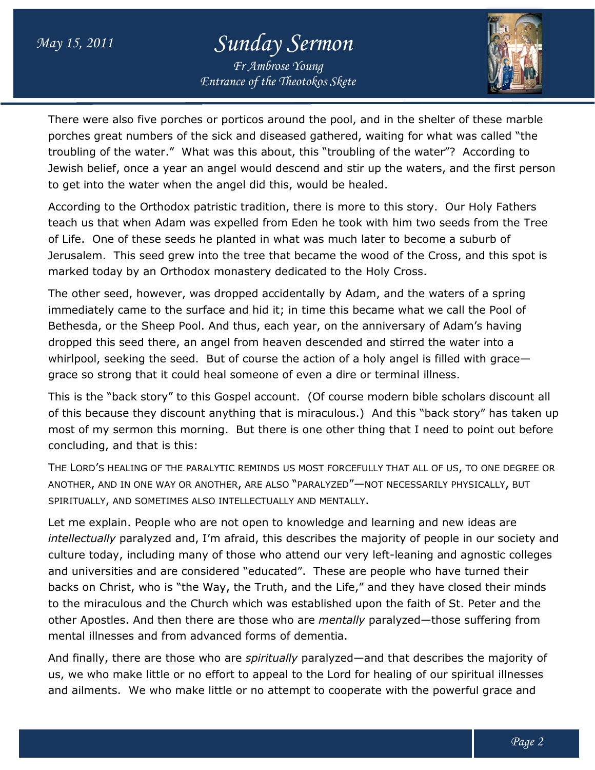### May 15, 2011

# Sunday Sermon

Entrance of the Theotokos Skete Fr Ambrose Young



There were also five porches or porticos around the pool, and in the shelter of these marble There were also five porches or porticos around the pool, and in the shelter of these marble<br>porches great numbers of the sick and diseased gathered, waiting for what was called "the troubling of the water." What was this about, this "troubling of the water"? According to Jewish belief, once a year an angel would descend and stir up the waters, and the first person to get into the water when the angel did this, would be healed. troubling of the water." What was this about, this "troubling of the water"?<br>Jewish belief, once a year an angel would descend and stir up the waters, a<br>to get into the water when the angel did this, would be healed.

According to the Orthodox patristic tradition, there is more to this story. Our Holy Fathers teach us that when Adam was expelled from Eden he took with him two seeds from the Tree of Life. One of these seeds he planted in what was much later to become a suburb of Jerusalem. This seed grew into the tree that became the wood of the Cross, and this spot is marked today by an Orthodox monastery dedicated to the Holy Cross. According to the Orthodox patristic tradition, there is more to this story. Our Holy F<br>teach us that when Adam was expelled from Eden he took with him two seeds from<br>of Life. One of these seeds he planted in what was much

The other seed, however, was dropped accidentally by Adam, and the waters of a spring immediately came to the surface and hid it; in time this became what we call the Pool of Bethesda, or the Sheep Pool. And thus, each year, on the anniversary of Adam's having dropped this seed there, an angel from heaven descended and stirred the water into a whirlpool, seeking the seed. But of course the action of a holy angel is filled with grace grace so strong that it could heal someone of even a dire or terminal illness. red today by an Orthodox monastery dedicated to the Holy Cross.<br>
other seed, however, was dropped accidentally by Adam, and the waters of a spring<br>
ediately came to the surface and hid it; in time this became what we call

This is the "back story" to this Gospel account. (Of course modern bible scholars discount all of this because they discount anything that is miraculous.) And this "back story" has taken up most of my sermon this morning. But there is one other thing that I need to point out before concluding, and that is this: (Of course modern bible scholars discount all<br>iraculous.) And this "back story" has taken up<br>ine other thing that I need to point out before

The LORD'S HEALING OF THE PARALYTIC REMINDS US MOST FORCEFULLY THAT ALL OF US, TO ONE DEGREE OR ANOTHER, AND IN ONE WAY OR ANOTHER, ARE ALSO "PARALYZED"—NOT NECESSARILY PHYSICALLY, BUT SPIRITUALLY, AND SOMETIMES ALSO INTELLECTUALLY AND MENTALLY.

Let me explain. People who are not open to knowledge and learning and new ideas are intellectually paralyzed and, I'm afraid, this describes the majority of people in our society and Let me explain. People who are not open to knowledge and learning and new ideas are<br>*intellectually* paralyzed and, I'm afraid, this describes the majority of people in our society and<br>culture today, including many of thos and universities and are considered "educated". These are people who have turned their backs on Christ, who is "the Way, the Truth, and the Life," and they have closed their minds backs on Christ, who is "the Way, the Truth, and the Life," and they have closed their minds<br>to the miraculous and the Church which was established upon the faith of St. Peter and the other Apostles. And then there are those who are *mentally* paralyzed—those suf mental illnesses and from advanced forms of dementia. leaning and agnostic college<br>lle who have turned their<br>hey have closed their minds<br>le faith of St. Peter and the<br>lyzed—those suffering from

And finally, there are those who are spiritually paralyzed—and that describes the majority of And finally, there are those who are *spiritually* paralyzed—and that describes the majority of<br>us, we who make little or no effort to appeal to the Lord for healing of our spiritual illnesses us, we who make little or no effort to appeal to the Lord for healing of our spiritual illnesse:<br>and ailments. We who make little or no attempt to cooperate with the powerful grace and